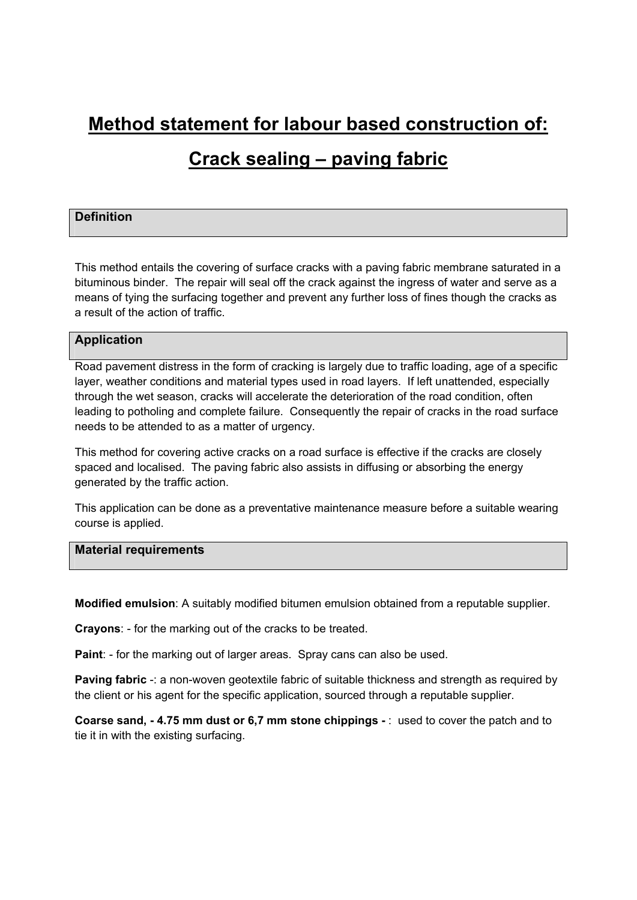# **Method statement for labour based construction of:**

## **Crack sealing – paving fabric**

### **Definition**

This method entails the covering of surface cracks with a paving fabric membrane saturated in a bituminous binder. The repair will seal off the crack against the ingress of water and serve as a means of tying the surfacing together and prevent any further loss of fines though the cracks as a result of the action of traffic.

#### **Application**

Road pavement distress in the form of cracking is largely due to traffic loading, age of a specific layer, weather conditions and material types used in road layers. If left unattended, especially through the wet season, cracks will accelerate the deterioration of the road condition, often leading to potholing and complete failure. Consequently the repair of cracks in the road surface needs to be attended to as a matter of urgency.

This method for covering active cracks on a road surface is effective if the cracks are closely spaced and localised. The paving fabric also assists in diffusing or absorbing the energy generated by the traffic action.

This application can be done as a preventative maintenance measure before a suitable wearing course is applied.

#### **Material requirements**

**Modified emulsion**: A suitably modified bitumen emulsion obtained from a reputable supplier.

**Crayons**: - for the marking out of the cracks to be treated.

**Paint**: - for the marking out of larger areas. Spray cans can also be used.

**Paving fabric** -: a non-woven geotextile fabric of suitable thickness and strength as required by the client or his agent for the specific application, sourced through a reputable supplier.

**Coarse sand, - 4.75 mm dust or 6,7 mm stone chippings -** : used to cover the patch and to tie it in with the existing surfacing.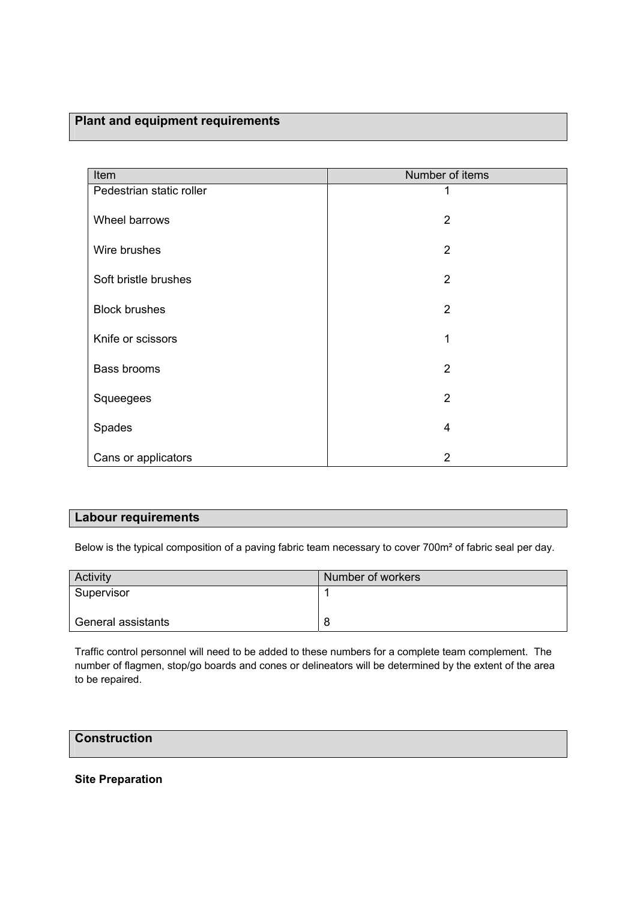### **Plant and equipment requirements**

| Item                     | Number of items |  |  |
|--------------------------|-----------------|--|--|
| Pedestrian static roller |                 |  |  |
| Wheel barrows            | $\overline{2}$  |  |  |
| Wire brushes             | $\overline{2}$  |  |  |
| Soft bristle brushes     | $\overline{2}$  |  |  |
| <b>Block brushes</b>     | $\overline{2}$  |  |  |
| Knife or scissors        | 1               |  |  |
| Bass brooms              | $\overline{2}$  |  |  |
| Squeegees                | $\overline{2}$  |  |  |
| Spades                   | 4               |  |  |
| Cans or applicators      | 2               |  |  |

#### **Labour requirements**

Below is the typical composition of a paving fabric team necessary to cover 700m² of fabric seal per day.

| <b>Activity</b>    | Number of workers |  |
|--------------------|-------------------|--|
| Supervisor         |                   |  |
|                    |                   |  |
| General assistants | 8                 |  |

Traffic control personnel will need to be added to these numbers for a complete team complement. The number of flagmen, stop/go boards and cones or delineators will be determined by the extent of the area to be repaired.

| <b>Construction</b> |  |  |
|---------------------|--|--|
|                     |  |  |

#### **Site Preparation**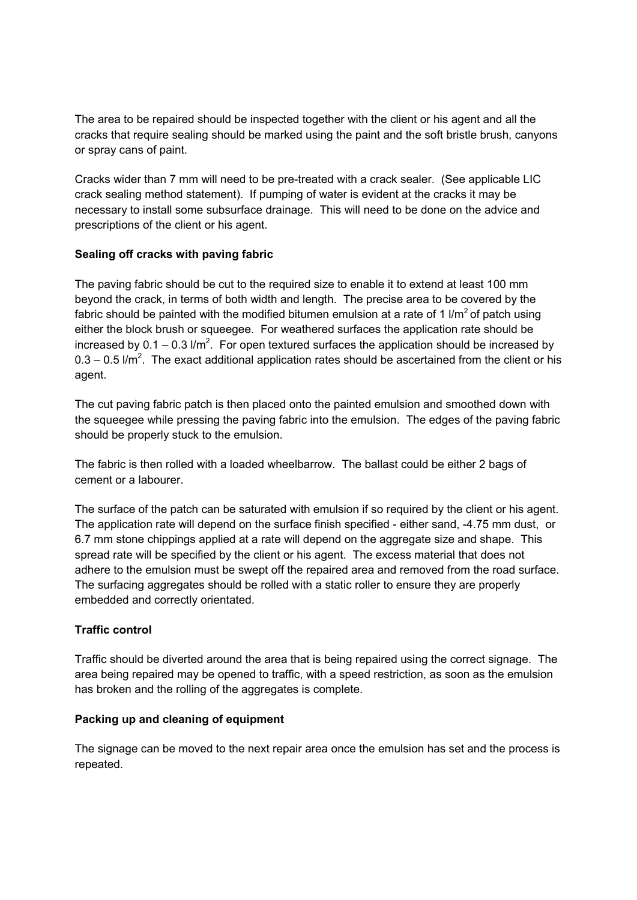The area to be repaired should be inspected together with the client or his agent and all the cracks that require sealing should be marked using the paint and the soft bristle brush, canyons or spray cans of paint.

Cracks wider than 7 mm will need to be pre-treated with a crack sealer. (See applicable LIC crack sealing method statement). If pumping of water is evident at the cracks it may be necessary to install some subsurface drainage. This will need to be done on the advice and prescriptions of the client or his agent.

#### **Sealing off cracks with paving fabric**

The paving fabric should be cut to the required size to enable it to extend at least 100 mm beyond the crack, in terms of both width and length. The precise area to be covered by the fabric should be painted with the modified bitumen emulsion at a rate of 1  $1/m^2$  of patch using either the block brush or squeegee. For weathered surfaces the application rate should be increased by 0.1 – 0.3  $\text{l/m}^2$ . For open textured surfaces the application should be increased by 0.3 – 0.5  $\text{Im}^2$ . The exact additional application rates should be ascertained from the client or his agent.

The cut paving fabric patch is then placed onto the painted emulsion and smoothed down with the squeegee while pressing the paving fabric into the emulsion. The edges of the paving fabric should be properly stuck to the emulsion.

The fabric is then rolled with a loaded wheelbarrow. The ballast could be either 2 bags of cement or a labourer.

The surface of the patch can be saturated with emulsion if so required by the client or his agent. The application rate will depend on the surface finish specified - either sand, -4.75 mm dust, or 6.7 mm stone chippings applied at a rate will depend on the aggregate size and shape. This spread rate will be specified by the client or his agent. The excess material that does not adhere to the emulsion must be swept off the repaired area and removed from the road surface. The surfacing aggregates should be rolled with a static roller to ensure they are properly embedded and correctly orientated.

#### **Traffic control**

Traffic should be diverted around the area that is being repaired using the correct signage. The area being repaired may be opened to traffic, with a speed restriction, as soon as the emulsion has broken and the rolling of the aggregates is complete.

#### **Packing up and cleaning of equipment**

The signage can be moved to the next repair area once the emulsion has set and the process is repeated.